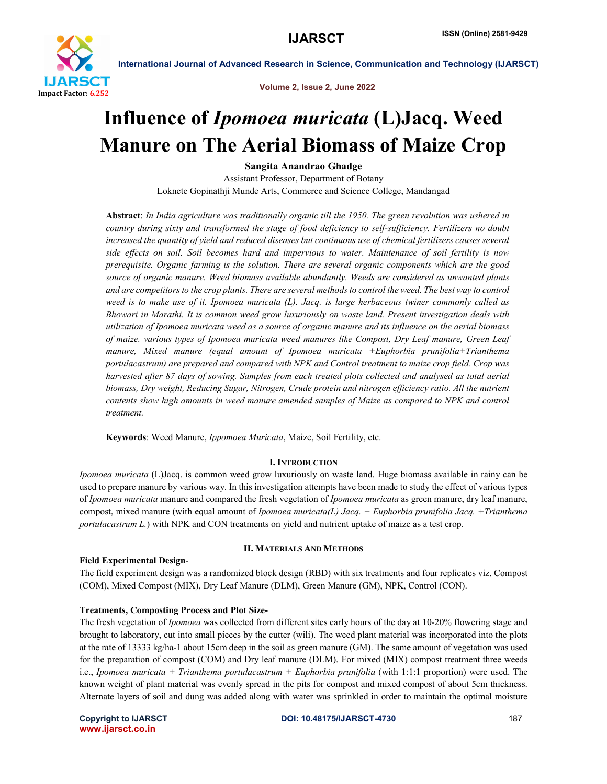

Volume 2, Issue 2, June 2022

# Influence of *Ipomoea muricata* (L)Jacq. Weed Manure on The Aerial Biomass of Maize Crop

Sangita Anandrao Ghadge

Assistant Professor, Department of Botany Loknete Gopinathji Munde Arts, Commerce and Science College, Mandangad

Abstract: *In India agriculture was traditionally organic till the 1950. The green revolution was ushered in country during sixty and transformed the stage of food deficiency to self-sufficiency. Fertilizers no doubt increased the quantity of yield and reduced diseases but continuous use of chemical fertilizers causes several side effects on soil. Soil becomes hard and impervious to water. Maintenance of soil fertility is now prerequisite. Organic farming is the solution. There are several organic components which are the good source of organic manure. Weed biomass available abundantly. Weeds are considered as unwanted plants*  and are competitors to the crop plants. There are several methods to control the weed. The best way to control *weed is to make use of it. Ipomoea muricata (L). Jacq. is large herbaceous twiner commonly called as Bhowari in Marathi. It is common weed grow luxuriously on waste land. Present investigation deals with utilization of Ipomoea muricata weed as a source of organic manure and its influence on the aerial biomass of maize. various types of Ipomoea muricata weed manures like Compost, Dry Leaf manure, Green Leaf manure, Mixed manure (equal amount of Ipomoea muricata +Euphorbia prunifolia+Trianthema portulacastrum) are prepared and compared with NPK and Control treatment to maize crop field. Crop was harvested after 87 days of sowing. Samples from each treated plots collected and analysed as total aerial biomass, Dry weight, Reducing Sugar, Nitrogen, Crude protein and nitrogen efficiency ratio. All the nutrient contents show high amounts in weed manure amended samples of Maize as compared to NPK and control treatment.*

Keywords: Weed Manure, *Ippomoea Muricata*, Maize, Soil Fertility, etc.

# I. INTRODUCTION

*Ipomoea muricata* (L)Jacq. is common weed grow luxuriously on waste land. Huge biomass available in rainy can be used to prepare manure by various way. In this investigation attempts have been made to study the effect of various types of *Ipomoea muricata* manure and compared the fresh vegetation of *Ipomoea muricata* as green manure, dry leaf manure, compost, mixed manure (with equal amount of *Ipomoea muricata(L) Jacq. + Euphorbia prunifolia Jacq. +Trianthema portulacastrum L.*) with NPK and CON treatments on yield and nutrient uptake of maize as a test crop.

# Field Experimental Design-

# II. MATERIALS AND METHODS

The field experiment design was a randomized block design (RBD) with six treatments and four replicates viz. Compost (COM), Mixed Compost (MIX), Dry Leaf Manure (DLM), Green Manure (GM), NPK, Control (CON).

# Treatments, Composting Process and Plot Size-

The fresh vegetation of *Ipomoea* was collected from different sites early hours of the day at 10-20% flowering stage and brought to laboratory, cut into small pieces by the cutter (wili). The weed plant material was incorporated into the plots at the rate of 13333 kg/ha-1 about 15cm deep in the soil as green manure (GM). The same amount of vegetation was used for the preparation of compost (COM) and Dry leaf manure (DLM). For mixed (MIX) compost treatment three weeds i.e., *Ipomoea muricata + Trianthema portulacastrum + Euphorbia prunifolia* (with 1:1:1 proportion) were used. The known weight of plant material was evenly spread in the pits for compost and mixed compost of about 5cm thickness. Alternate layers of soil and dung was added along with water was sprinkled in order to maintain the optimal moisture

www.ijarsct.co.in

### Copyright to IJARSCT **DOI: 10.48175/IJARSCT-4730** 187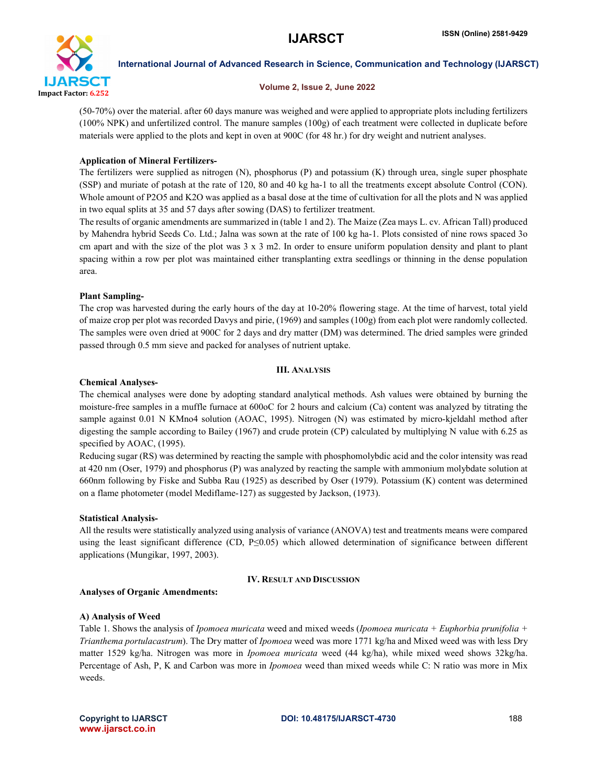

#### Volume 2, Issue 2, June 2022

(50-70%) over the material. after 60 days manure was weighed and were applied to appropriate plots including fertilizers (100% NPK) and unfertilized control. The manure samples (100g) of each treatment were collected in duplicate before materials were applied to the plots and kept in oven at 900C (for 48 hr.) for dry weight and nutrient analyses.

# Application of Mineral Fertilizers-

The fertilizers were supplied as nitrogen (N), phosphorus (P) and potassium (K) through urea, single super phosphate (SSP) and muriate of potash at the rate of 120, 80 and 40 kg ha-1 to all the treatments except absolute Control (CON). Whole amount of P2O5 and K2O was applied as a basal dose at the time of cultivation for all the plots and N was applied in two equal splits at 35 and 57 days after sowing (DAS) to fertilizer treatment.

The results of organic amendments are summarized in (table 1 and 2). The Maize (Zea mays L. cv. African Tall) produced by Mahendra hybrid Seeds Co. Ltd.; Jalna was sown at the rate of 100 kg ha-1. Plots consisted of nine rows spaced 3o cm apart and with the size of the plot was  $3 \times 3$  m2. In order to ensure uniform population density and plant to plant spacing within a row per plot was maintained either transplanting extra seedlings or thinning in the dense population area.

# Plant Sampling-

The crop was harvested during the early hours of the day at 10-20% flowering stage. At the time of harvest, total yield of maize crop per plot was recorded Davys and pirie, (1969) and samples (100g) from each plot were randomly collected. The samples were oven dried at 900C for 2 days and dry matter (DM) was determined. The dried samples were grinded passed through 0.5 mm sieve and packed for analyses of nutrient uptake.

# III. ANALYSIS

# Chemical Analyses-

The chemical analyses were done by adopting standard analytical methods. Ash values were obtained by burning the moisture-free samples in a muffle furnace at 600oC for 2 hours and calcium (Ca) content was analyzed by titrating the sample against 0.01 N KMno4 solution (AOAC, 1995). Nitrogen (N) was estimated by micro-kjeldahl method after digesting the sample according to Bailey (1967) and crude protein (CP) calculated by multiplying N value with 6.25 as specified by AOAC,  $(1995)$ .

Reducing sugar (RS) was determined by reacting the sample with phosphomolybdic acid and the color intensity was read at 420 nm (Oser, 1979) and phosphorus (P) was analyzed by reacting the sample with ammonium molybdate solution at 660nm following by Fiske and Subba Rau (1925) as described by Oser (1979). Potassium (K) content was determined on a flame photometer (model Mediflame-127) as suggested by Jackson, (1973).

# Statistical Analysis-

All the results were statistically analyzed using analysis of variance (ANOVA) test and treatments means were compared using the least significant difference (CD, P≤0.05) which allowed determination of significance between different applications (Mungikar, 1997, 2003).

# IV. RESULT AND DISCUSSION

# Analyses of Organic Amendments:

# A) Analysis of Weed

Table 1. Shows the analysis of *Ipomoea muricata* weed and mixed weeds (*Ipomoea muricata + Euphorbia prunifolia + Trianthema portulacastrum*). The Dry matter of *Ipomoea* weed was more 1771 kg/ha and Mixed weed was with less Dry matter 1529 kg/ha. Nitrogen was more in *Ipomoea muricata* weed (44 kg/ha), while mixed weed shows 32kg/ha. Percentage of Ash, P, K and Carbon was more in *Ipomoea* weed than mixed weeds while C: N ratio was more in Mix weeds.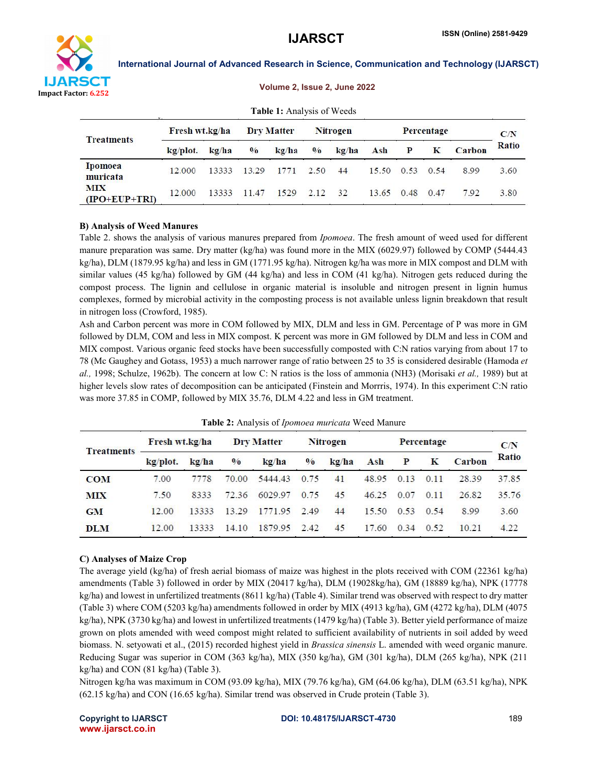

|                               |                |       |                   | <b>Table 1:</b> Analysis of Weeds |                 |       |            |      |      |               |       |
|-------------------------------|----------------|-------|-------------------|-----------------------------------|-----------------|-------|------------|------|------|---------------|-------|
| <b>Treatments</b>             | Fresh wt.kg/ha |       | <b>Dry Matter</b> |                                   | <b>Nitrogen</b> |       | Percentage |      |      | C/N           |       |
|                               | kg/plot.       | kg/ha | $\frac{0}{0}$     | kg/ha                             | $\frac{0}{0}$   | kg/ha | Ash        | P    | K    | <b>Carbon</b> | Ratio |
| <b>Ipomoea</b><br>muricata    | 12.000         | 13333 | 13.29             | 1771                              | 2.50            | 44    | 15.50      | 0.53 | 0.54 | 8.99          | 3.60  |
| <b>MIX</b><br>$(IPO+EUP+TRI)$ | 12.000         | 13333 | 11.47             | 1529                              | 2.12            | 32    | 13.65      | 0.48 | 0.47 | 7.92          | 3.80  |

#### Volume 2, Issue 2, June 2022

# B) Analysis of Weed Manures

Table 2. shows the analysis of various manures prepared from *Ipomoea*. The fresh amount of weed used for different manure preparation was same. Dry matter (kg/ha) was found more in the MIX (6029.97) followed by COMP (5444.43 kg/ha), DLM (1879.95 kg/ha) and less in GM (1771.95 kg/ha). Nitrogen kg/ha was more in MIX compost and DLM with similar values (45 kg/ha) followed by GM (44 kg/ha) and less in COM (41 kg/ha). Nitrogen gets reduced during the compost process. The lignin and cellulose in organic material is insoluble and nitrogen present in lignin humus complexes, formed by microbial activity in the composting process is not available unless lignin breakdown that result in nitrogen loss (Crowford, 1985).

Ash and Carbon percent was more in COM followed by MIX, DLM and less in GM. Percentage of P was more in GM followed by DLM, COM and less in MIX compost. K percent was more in GM followed by DLM and less in COM and MIX compost. Various organic feed stocks have been successfully composted with C:N ratios varying from about 17 to 78 (Mc Gaughey and Gotass, 1953) a much narrower range of ratio between 25 to 35 is considered desirable (Hamoda *et al.,* 1998; Schulze, 1962b). The concern at low C: N ratios is the loss of ammonia (NH3) (Morisaki *et al.,* 1989) but at higher levels slow rates of decomposition can be anticipated (Finstein and Morrris, 1974). In this experiment C:N ratio was more 37.85 in COMP, followed by MIX 35.76, DLM 4.22 and less in GM treatment.

|                   | Fresh wt.kg/ha |       | <b>Dry Matter</b> |         | <b>Nitrogen</b> |       | Percentage |      |      |               | C/N   |
|-------------------|----------------|-------|-------------------|---------|-----------------|-------|------------|------|------|---------------|-------|
| <b>Treatments</b> | kg/plot.       | kg/ha | $\frac{0}{0}$     | kg/ha   | $\frac{0}{0}$   | kg/ha | Ash        | P    | K    | <b>Carbon</b> | Ratio |
| <b>COM</b>        | 7.00           | 7778  | 70.00             | 5444.43 | 0.75            | 41    | 48.95      | 0.13 | 0.11 | 28.39         | 37.85 |
| MIX               | 7.50           | 8333  | 72.36             | 6029.97 | 0.75            | 45    | 46.25      | 0.07 | 0.11 | 26.82         | 35.76 |
| <b>GM</b>         | 12.00          | 13333 | 13.29             | 1771.95 | 2.49            | 44    | 15.50      | 0.53 | 0.54 | 8.99          | 3.60  |
| <b>DLM</b>        | 12.00          | 13333 | 14.10             | 1879.95 | 2.42            | 45    | 17.60      | 0.34 | 0.52 | 10.21         | 4.22  |

Table 2: Analysis of *Ipomoea muricata* Weed Manure

# C) Analyses of Maize Crop

The average yield (kg/ha) of fresh aerial biomass of maize was highest in the plots received with COM (22361 kg/ha) amendments (Table 3) followed in order by MIX (20417 kg/ha), DLM (19028kg/ha), GM (18889 kg/ha), NPK (17778 kg/ha) and lowest in unfertilized treatments (8611 kg/ha) (Table 4). Similar trend was observed with respect to dry matter (Table 3) where COM (5203 kg/ha) amendments followed in order by MIX (4913 kg/ha), GM (4272 kg/ha), DLM (4075 kg/ha), NPK (3730 kg/ha) and lowest in unfertilized treatments (1479 kg/ha) (Table 3). Better yield performance of maize grown on plots amended with weed compost might related to sufficient availability of nutrients in soil added by weed biomass. N. setyowati et al., (2015) recorded highest yield in *Brassica sinensis* L. amended with weed organic manure. Reducing Sugar was superior in COM (363 kg/ha), MIX (350 kg/ha), GM (301 kg/ha), DLM (265 kg/ha), NPK (211 kg/ha) and CON (81 kg/ha) (Table 3).

Nitrogen kg/ha was maximum in COM (93.09 kg/ha), MIX (79.76 kg/ha), GM (64.06 kg/ha), DLM (63.51 kg/ha), NPK (62.15 kg/ha) and CON (16.65 kg/ha). Similar trend was observed in Crude protein (Table 3).

www.ijarsct.co.in

### Copyright to IJARSCT **DOI: 10.48175/IJARSCT-4730** 189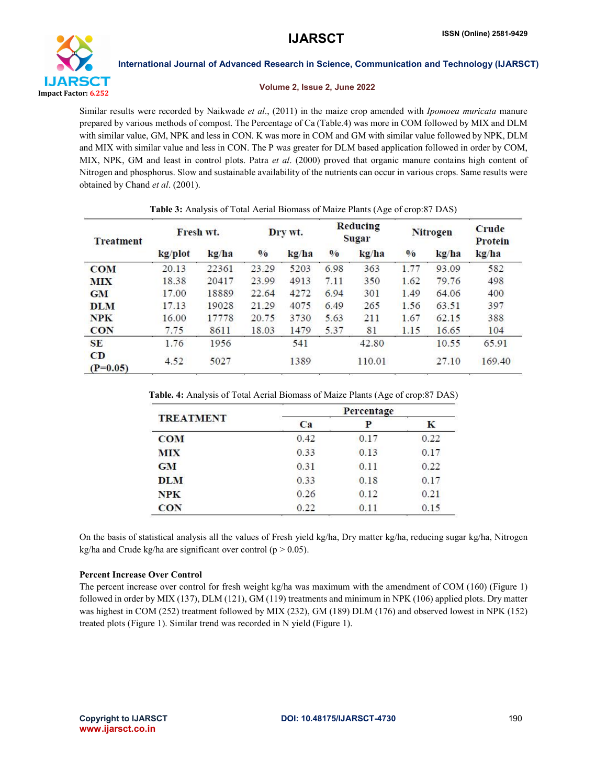

#### Volume 2, Issue 2, June 2022

Similar results were recorded by Naikwade *et al*., (2011) in the maize crop amended with *Ipomoea muricata* manure prepared by various methods of compost. The Percentage of Ca (Table.4) was more in COM followed by MIX and DLM with similar value, GM, NPK and less in CON. K was more in COM and GM with similar value followed by NPK, DLM and MIX with similar value and less in CON. The P was greater for DLM based application followed in order by COM, MIX, NPK, GM and least in control plots. Patra *et al*. (2000) proved that organic manure contains high content of Nitrogen and phosphorus. Slow and sustainable availability of the nutrients can occur in various crops. Same results were obtained by Chand *et al*. (2001).

Table 3: Analysis of Total Aerial Biomass of Maize Plants (Age of crop:87 DAS)

| <b>Treatment</b> | Fresh wt. |       | Dry wt.       |       | Reducing<br>Sugar |        | <b>Nitrogen</b> |       | Crude<br>Protein |  |  |
|------------------|-----------|-------|---------------|-------|-------------------|--------|-----------------|-------|------------------|--|--|
|                  | kg/plot   | kg/ha | $\frac{0}{0}$ | kg/ha | $\frac{0}{0}$     | kg/ha  | $\frac{0}{0}$   | kg/ha | kg/ha            |  |  |
| <b>COM</b>       | 20.13     | 22361 | 23.29         | 5203  | 6.98              | 363    | 1.77            | 93.09 | 582              |  |  |
| <b>MIX</b>       | 18.38     | 20417 | 23.99         | 4913  | 7.11              | 350    | 1.62            | 79.76 | 498              |  |  |
| <b>GM</b>        | 17.00     | 18889 | 22.64         | 4272  | 6.94              | 301    | 1.49            | 64.06 | 400              |  |  |
| <b>DLM</b>       | 17.13     | 19028 | 21.29         | 4075  | 6.49              | 265    | 1.56            | 63.51 | 397              |  |  |
| <b>NPK</b>       | 16.00     | 17778 | 20.75         | 3730  | 5.63              | 211    | 1.67            | 62.15 | 388              |  |  |
| <b>CON</b>       | 7.75      | 8611  | 18.03         | 1479  | 5.37              | 81     | 1.15            | 16.65 | 104              |  |  |
| <b>SE</b>        | 1.76      | 1956  |               | 541   |                   | 42.80  |                 | 10.55 | 65.91            |  |  |
| CD<br>$(P=0.05)$ | 4.52      | 5027  |               | 1389  |                   | 110.01 |                 | 27.10 | 169.40           |  |  |

| Table. 4: Analysis of Total Aerial Biomass of Maize Plants (Age of crop:87 DAS) |  |  |
|---------------------------------------------------------------------------------|--|--|
|                                                                                 |  |  |

|                  | Percentage |      |      |  |  |  |  |
|------------------|------------|------|------|--|--|--|--|
| <b>TREATMENT</b> | Ca         | P    | Κ    |  |  |  |  |
| <b>COM</b>       | 0.42       | 0.17 | 0.22 |  |  |  |  |
| <b>MIX</b>       | 0.33       | 0.13 | 0.17 |  |  |  |  |
| <b>GM</b>        | 0.31       | 0.11 | 0.22 |  |  |  |  |
| <b>DLM</b>       | 0.33       | 0.18 | 0.17 |  |  |  |  |
| NPK              | 0.26       | 0.12 | 0.21 |  |  |  |  |
| <b>CON</b>       | 0.22       | 0.11 | 0.15 |  |  |  |  |

On the basis of statistical analysis all the values of Fresh yield kg/ha, Dry matter kg/ha, reducing sugar kg/ha, Nitrogen kg/ha and Crude kg/ha are significant over control ( $p > 0.05$ ).

# Percent Increase Over Control

The percent increase over control for fresh weight kg/ha was maximum with the amendment of COM (160) (Figure 1) followed in order by MIX (137), DLM (121), GM (119) treatments and minimum in NPK (106) applied plots. Dry matter was highest in COM (252) treatment followed by MIX (232), GM (189) DLM (176) and observed lowest in NPK (152) treated plots (Figure 1). Similar trend was recorded in N yield (Figure 1).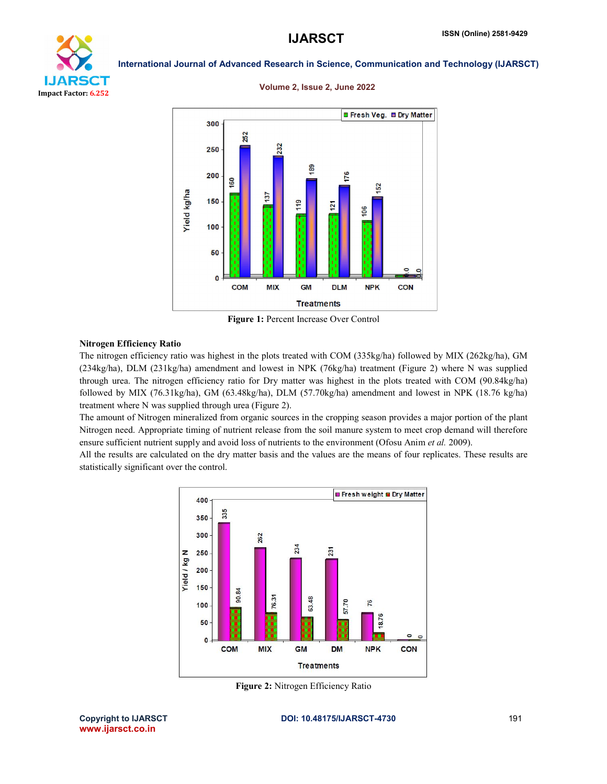

# Volume 2, Issue 2, June 2022



Figure 1: Percent Increase Over Control

# Nitrogen Efficiency Ratio

The nitrogen efficiency ratio was highest in the plots treated with COM (335kg/ha) followed by MIX (262kg/ha), GM (234kg/ha), DLM (231kg/ha) amendment and lowest in NPK (76kg/ha) treatment (Figure 2) where N was supplied through urea. The nitrogen efficiency ratio for Dry matter was highest in the plots treated with COM (90.84kg/ha) followed by MIX (76.31kg/ha), GM (63.48kg/ha), DLM (57.70kg/ha) amendment and lowest in NPK (18.76 kg/ha) treatment where N was supplied through urea (Figure 2).

The amount of Nitrogen mineralized from organic sources in the cropping season provides a major portion of the plant Nitrogen need. Appropriate timing of nutrient release from the soil manure system to meet crop demand will therefore ensure sufficient nutrient supply and avoid loss of nutrients to the environment (Ofosu Anim *et al.* 2009).

All the results are calculated on the dry matter basis and the values are the means of four replicates. These results are statistically significant over the control.



Figure 2: Nitrogen Efficiency Ratio

www.ijarsct.co.in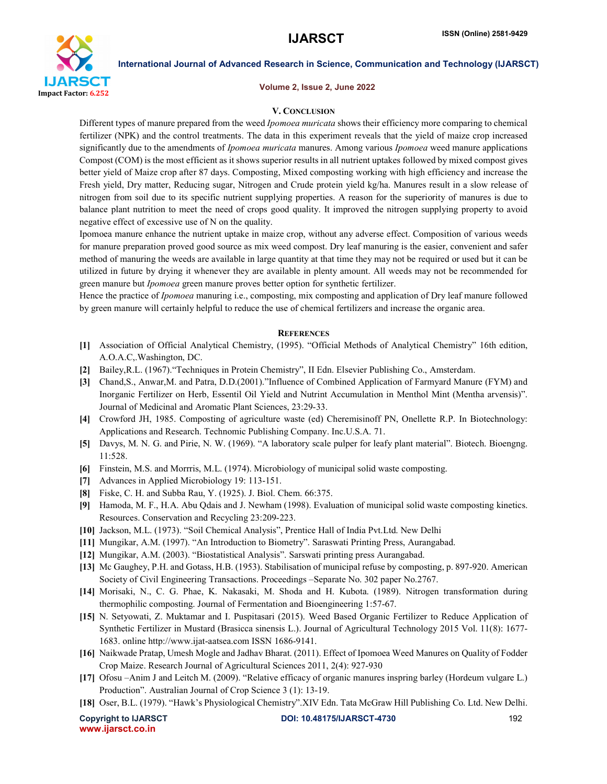

#### Volume 2, Issue 2, June 2022

### V. CONCLUSION

Different types of manure prepared from the weed *Ipomoea muricata* shows their efficiency more comparing to chemical fertilizer (NPK) and the control treatments. The data in this experiment reveals that the yield of maize crop increased significantly due to the amendments of *Ipomoea muricata* manures. Among various *Ipomoea* weed manure applications Compost (COM) is the most efficient as it shows superior results in all nutrient uptakes followed by mixed compost gives better yield of Maize crop after 87 days. Composting, Mixed composting working with high efficiency and increase the Fresh yield, Dry matter, Reducing sugar, Nitrogen and Crude protein yield kg/ha. Manures result in a slow release of nitrogen from soil due to its specific nutrient supplying properties. A reason for the superiority of manures is due to balance plant nutrition to meet the need of crops good quality. It improved the nitrogen supplying property to avoid negative effect of excessive use of N on the quality.

Ipomoea manure enhance the nutrient uptake in maize crop, without any adverse effect. Composition of various weeds for manure preparation proved good source as mix weed compost. Dry leaf manuring is the easier, convenient and safer method of manuring the weeds are available in large quantity at that time they may not be required or used but it can be utilized in future by drying it whenever they are available in plenty amount. All weeds may not be recommended for green manure but *Ipomoea* green manure proves better option for synthetic fertilizer.

Hence the practice of *Ipomoea* manuring i.e., composting, mix composting and application of Dry leaf manure followed by green manure will certainly helpful to reduce the use of chemical fertilizers and increase the organic area.

#### **REFERENCES**

- [1] Association of Official Analytical Chemistry, (1995). "Official Methods of Analytical Chemistry" 16th edition, A.O.A.C,.Washington, DC.
- [2] Bailey,R.L. (1967)."Techniques in Protein Chemistry", II Edn. Elsevier Publishing Co., Amsterdam.
- [3] Chand,S., Anwar,M. and Patra, D.D.(2001)."Influence of Combined Application of Farmyard Manure (FYM) and Inorganic Fertilizer on Herb, Essentil Oil Yield and Nutrint Accumulation in Menthol Mint (Mentha arvensis)". Journal of Medicinal and Aromatic Plant Sciences, 23:29-33.
- [4] Crowford JH, 1985. Composting of agriculture waste (ed) Cheremisinoff PN, Onellette R.P. In Biotechnology: Applications and Research. Technomic Publishing Company. Inc.U.S.A. 71.
- [5] Davys, M. N. G. and Pirie, N. W. (1969). "A laboratory scale pulper for leafy plant material". Biotech. Bioengng. 11:528.
- [6] Finstein, M.S. and Morrris, M.L. (1974). Microbiology of municipal solid waste composting.
- [7] Advances in Applied Microbiology 19: 113-151.
- [8] Fiske, C. H. and Subba Rau, Y. (1925). J. Biol. Chem. 66:375.
- [9] Hamoda, M. F., H.A. Abu Qdais and J. Newham (1998). Evaluation of municipal solid waste composting kinetics. Resources. Conservation and Recycling 23:209-223.
- [10] Jackson, M.L. (1973). "Soil Chemical Analysis", Prentice Hall of India Pvt.Ltd. New Delhi
- [11] Mungikar, A.M. (1997). "An Introduction to Biometry". Saraswati Printing Press, Aurangabad.
- [12] Mungikar, A.M. (2003). "Biostatistical Analysis". Sarswati printing press Aurangabad.
- [13] Mc Gaughey, P.H. and Gotass, H.B. (1953). Stabilisation of municipal refuse by composting, p. 897-920. American Society of Civil Engineering Transactions. Proceedings –Separate No. 302 paper No.2767.
- [14] Morisaki, N., C. G. Phae, K. Nakasaki, M. Shoda and H. Kubota. (1989). Nitrogen transformation during thermophilic composting. Journal of Fermentation and Bioengineering 1:57-67.
- [15] N. Setyowati, Z. Muktamar and I. Puspitasari (2015). Weed Based Organic Fertilizer to Reduce Application of Synthetic Fertilizer in Mustard (Brasicca sinensis L.). Journal of Agricultural Technology 2015 Vol. 11(8): 1677- 1683. online http://www.ijat-aatsea.com ISSN 1686-9141.
- [16] Naikwade Pratap, Umesh Mogle and Jadhav Bharat. (2011). Effect of Ipomoea Weed Manures on Quality of Fodder Crop Maize. Research Journal of Agricultural Sciences 2011, 2(4): 927-930
- [17] Ofosu –Anim J and Leitch M. (2009). "Relative efficacy of organic manures inspring barley (Hordeum vulgare L.) Production". Australian Journal of Crop Science 3 (1): 13-19.
- [18] Oser, B.L. (1979). "Hawk's Physiological Chemistry".XIV Edn. Tata McGraw Hill Publishing Co. Ltd. New Delhi.

www.ijarsct.co.in